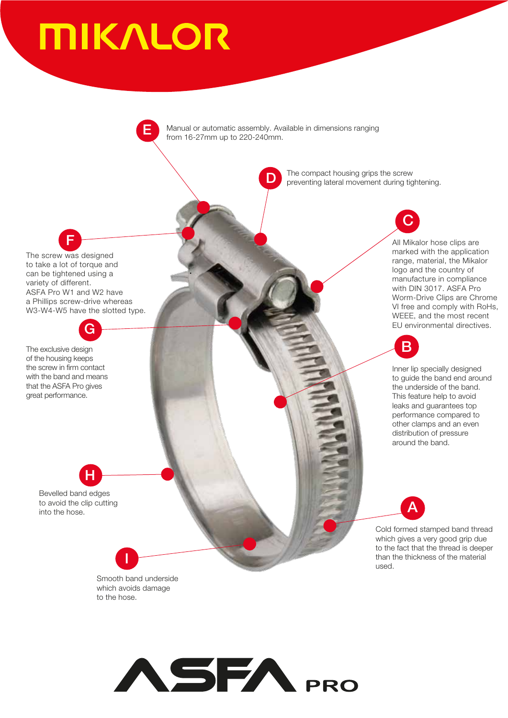# **MIKALOR**

D C H A E I F G B . Inner lip specially designed to guide the band end around the underside of the band. This feature help to avoid leaks and guarantees top performance compared to other clamps and an even distribution of pressure around the band. Cold formed stamped band thread which gives a very good grip due to the fact that the thread is deeper than the thickness of the material used. Smooth band underside which avoids damage to the hose. Bevelled band edges to avoid the clip cutting into the hose. The exclusive design of the housing keeps the screw in firm contact with the band and means that the ASFA Pro gives great performance. The screw was designed to take a lot of torque and can be tightened using a variety of different. ASFA Pro W1 and W2 have a Phillips screw-drive whereas W3-W4-W5 have the slotted type. Manual or automatic assembly. Available in dimensions ranging from 16-27mm up to 220-240mm. The compact housing grips the screw preventing lateral movement during tightening. All Mikalor hose clips are marked with the application range, material, the Mikalor logo and the country of manufacture in compliance with DIN 3017. ASFA Pro Worm-Drive Clips are Chrome VI free and comply with RoHs, WEEE, and the most recent EU environmental directives.